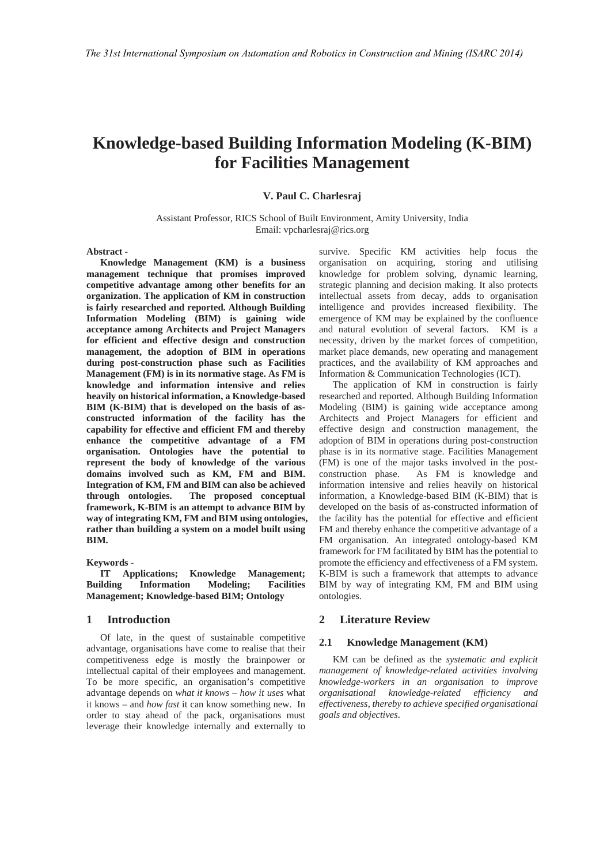# **Knowledge-based Building Information Modeling (K-BIM) for Facilities Management**

**V. Paul C. Charlesraj** 

Assistant Professor, RICS School of Built Environment, Amity University, India Email: vpcharlesraj@rics.org

**Abstract -** 

**Knowledge Management (KM) is a business management technique that promises improved competitive advantage among other benefits for an organization. The application of KM in construction is fairly researched and reported. Although Building Information Modeling (BIM) is gaining wide acceptance among Architects and Project Managers for efficient and effective design and construction management, the adoption of BIM in operations during post-construction phase such as Facilities Management (FM) is in its normative stage. As FM is knowledge and information intensive and relies heavily on historical information, a Knowledge-based BIM (K-BIM) that is developed on the basis of asconstructed information of the facility has the capability for effective and efficient FM and thereby enhance the competitive advantage of a FM organisation. Ontologies have the potential to represent the body of knowledge of the various domains involved such as KM, FM and BIM. Integration of KM, FM and BIM can also be achieved through ontologies. The proposed conceptual framework, K-BIM is an attempt to advance BIM by way of integrating KM, FM and BIM using ontologies, rather than building a system on a model built using BIM.** 

**Keywords -** 

**IT Applications; Knowledge Management; Building Information Modeling; Facilities Management; Knowledge-based BIM; Ontology** 

# **1 Introduction**

Of late, in the quest of sustainable competitive advantage, organisations have come to realise that their competitiveness edge is mostly the brainpower or intellectual capital of their employees and management. To be more specific, an organisation's competitive advantage depends on *what it knows* – *how it uses* what it knows – and *how fast* it can know something new. In order to stay ahead of the pack, organisations must leverage their knowledge internally and externally to

survive. Specific KM activities help focus the organisation on acquiring, storing and utilising knowledge for problem solving, dynamic learning, strategic planning and decision making. It also protects intellectual assets from decay, adds to organisation intelligence and provides increased flexibility. The emergence of KM may be explained by the confluence and natural evolution of several factors. KM is a necessity, driven by the market forces of competition, market place demands, new operating and management practices, and the availability of KM approaches and Information & Communication Technologies (ICT).

The application of KM in construction is fairly researched and reported. Although Building Information Modeling (BIM) is gaining wide acceptance among Architects and Project Managers for efficient and effective design and construction management, the adoption of BIM in operations during post-construction phase is in its normative stage. Facilities Management (FM) is one of the major tasks involved in the postconstruction phase. As FM is knowledge and information intensive and relies heavily on historical information, a Knowledge-based BIM (K-BIM) that is developed on the basis of as-constructed information of the facility has the potential for effective and efficient FM and thereby enhance the competitive advantage of a FM organisation. An integrated ontology-based KM framework for FM facilitated by BIM has the potential to promote the efficiency and effectiveness of a FM system. K-BIM is such a framework that attempts to advance BIM by way of integrating KM, FM and BIM using ontologies.

# **2 Literature Review**

#### **2.1 Knowledge Management (KM)**

KM can be defined as the *systematic and explicit management of knowledge-related activities involving knowledge-workers in an organisation to improve organisational knowledge-related efficiency and effectiveness, thereby to achieve specified organisational goals and objectives*.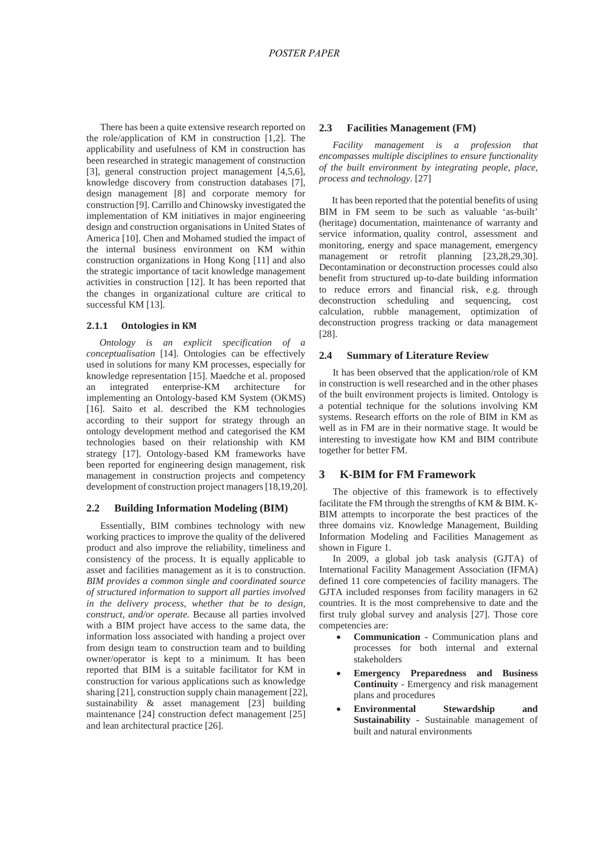There has been a quite extensive research reported on the role/application of KM in construction [1,2]. The applicability and usefulness of KM in construction has been researched in strategic management of construction [3], general construction project management [4,5,6], knowledge discovery from construction databases [7], design management [8] and corporate memory for construction [9]. Carrillo and Chinowsky investigated the implementation of KM initiatives in major engineering design and construction organisations in United States of America [10]. Chen and Mohamed studied the impact of the internal business environment on KM within construction organizations in Hong Kong [11] and also the strategic importance of tacit knowledge management activities in construction [12]. It has been reported that the changes in organizational culture are critical to successful KM [13].

#### **2.1.1 Ontologies in KM**

*Ontology is an explicit specification of a conceptualisation* [14]. Ontologies can be effectively used in solutions for many KM processes, especially for knowledge representation [15]. Maedche et al. proposed an integrated enterprise-KM architecture for implementing an Ontology-based KM System (OKMS) [16]. Saito et al. described the KM technologies according to their support for strategy through an ontology development method and categorised the KM technologies based on their relationship with KM strategy [17]. Ontology-based KM frameworks have been reported for engineering design management, risk management in construction projects and competency development of construction project managers [18,19,20].

# **2.2 Building Information Modeling (BIM)**

Essentially, BIM combines technology with new working practices to improve the quality of the delivered product and also improve the reliability, timeliness and consistency of the process. It is equally applicable to asset and facilities management as it is to construction. *BIM provides a common single and coordinated source of structured information to support all parties involved in the delivery process, whether that be to design, construct, and/or operate.* Because all parties involved with a BIM project have access to the same data, the information loss associated with handing a project over from design team to construction team and to building owner/operator is kept to a minimum. It has been reported that BIM is a suitable facilitator for KM in construction for various applications such as knowledge sharing [21], construction supply chain management [22], sustainability & asset management [23] building maintenance [24] construction defect management [25] and lean architectural practice [26].

#### **2.3 Facilities Management (FM)**

*Facility management is a profession that encompasses multiple disciplines to ensure functionality of the built environment by integrating people, place, process and technology.* [27]

It has been reported that the potential benefits of using BIM in FM seem to be such as valuable 'as-built' (heritage) documentation, maintenance of warranty and service information, quality control, assessment and monitoring, energy and space management, emergency management or retrofit planning [23,28,29,30]. Decontamination or deconstruction processes could also benefit from structured up-to-date building information to reduce errors and financial risk, e.g. through deconstruction scheduling and sequencing, cost calculation, rubble management, optimization of deconstruction progress tracking or data management [28].

## **2.4 Summary of Literature Review**

It has been observed that the application/role of KM in construction is well researched and in the other phases of the built environment projects is limited. Ontology is a potential technique for the solutions involving KM systems. Research efforts on the role of BIM in KM as well as in FM are in their normative stage. It would be interesting to investigate how KM and BIM contribute together for better FM.

# **3 K-BIM for FM Framework**

The objective of this framework is to effectively facilitate the FM through the strengths of KM & BIM. K-BIM attempts to incorporate the best practices of the three domains viz. Knowledge Management, Building Information Modeling and Facilities Management as shown in Figure 1.

In 2009, a global job task analysis (GJTA) of International Facility Management Association (IFMA) defined 11 core competencies of facility managers. The GJTA included responses from facility managers in 62 countries. It is the most comprehensive to date and the first truly global survey and analysis [27]. Those core competencies are:

- **Communication Communication plans and** processes for both internal and external stakeholders
- x **Emergency Preparedness and Business Continuity** - Emergency and risk management plans and procedures
- x **Environmental Stewardship and Sustainability -** Sustainable management of built and natural environments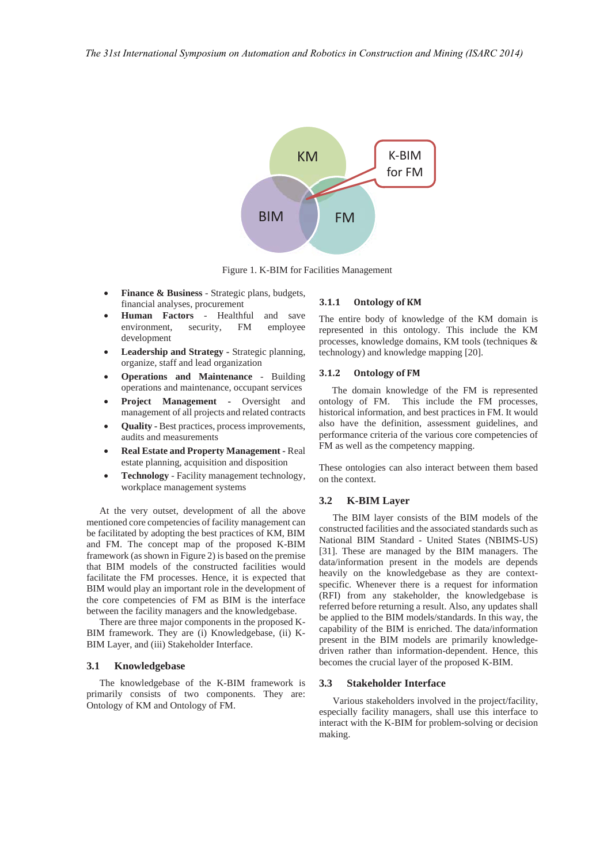

Figure 1. K-BIM for Facilities Management

- **Finance & Business** Strategic plans, budgets, financial analyses, procurement
- x **Human Factors** Healthful and save environment, security, FM employee development
- Leadership and Strategy Strategic planning, organize, staff and lead organization
- **Operations and Maintenance Building** operations and maintenance, occupant services
- **Project Management Oversight and** management of all projects and related contracts
- **Quality Best practices, process improvements,** audits and measurements
- x **Real Estate and Property Management** Real estate planning, acquisition and disposition
- x **Technology** Facility management technology, workplace management systems

At the very outset, development of all the above mentioned core competencies of facility management can be facilitated by adopting the best practices of KM, BIM and FM. The concept map of the proposed K-BIM framework (as shown in Figure 2) is based on the premise that BIM models of the constructed facilities would facilitate the FM processes. Hence, it is expected that BIM would play an important role in the development of the core competencies of FM as BIM is the interface between the facility managers and the knowledgebase.

There are three major components in the proposed K-BIM framework. They are (i) Knowledgebase, (ii) K-BIM Layer, and (iii) Stakeholder Interface.

#### **3.1 Knowledgebase**

The knowledgebase of the K-BIM framework is primarily consists of two components. They are: Ontology of KM and Ontology of FM.

#### **3.1.1 Ontology of KM**

The entire body of knowledge of the KM domain is represented in this ontology. This include the KM processes, knowledge domains, KM tools (techniques & technology) and knowledge mapping [20].

#### **3.1.2 Ontology of FM**

The domain knowledge of the FM is represented ontology of FM. This include the FM processes, historical information, and best practices in FM. It would also have the definition, assessment guidelines, and performance criteria of the various core competencies of FM as well as the competency mapping.

These ontologies can also interact between them based on the context.

#### **3.2 K-BIM Layer**

The BIM layer consists of the BIM models of the constructed facilities and the associated standards such as National BIM Standard - United States (NBIMS-US) [31]. These are managed by the BIM managers. The data/information present in the models are depends heavily on the knowledgebase as they are contextspecific. Whenever there is a request for information (RFI) from any stakeholder, the knowledgebase is referred before returning a result. Also, any updates shall be applied to the BIM models/standards. In this way, the capability of the BIM is enriched. The data/information present in the BIM models are primarily knowledgedriven rather than information-dependent. Hence, this becomes the crucial layer of the proposed K-BIM.

# **3.3 Stakeholder Interface**

Various stakeholders involved in the project/facility, especially facility managers, shall use this interface to interact with the K-BIM for problem-solving or decision making.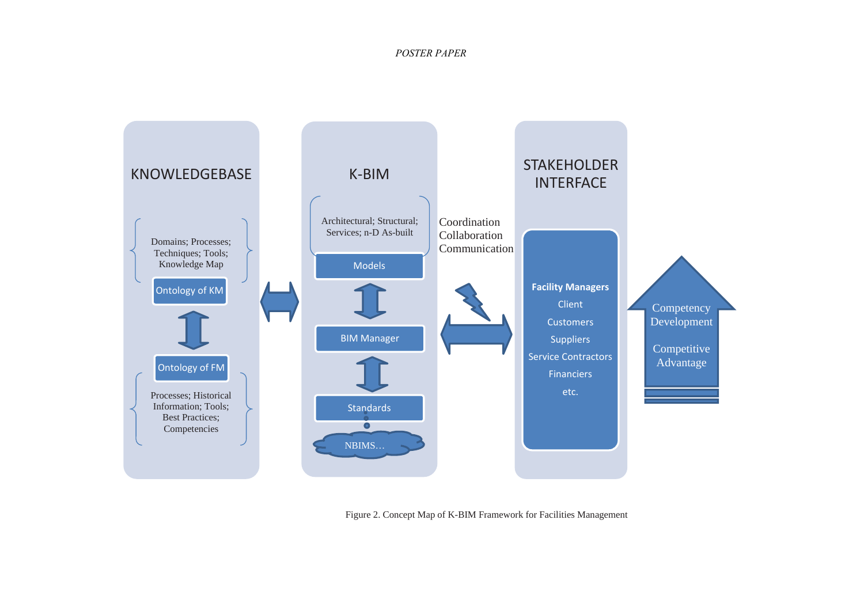# *POSTER PAPER*



Figure 2. Concept Map of K-BIM Framework for Facilities Management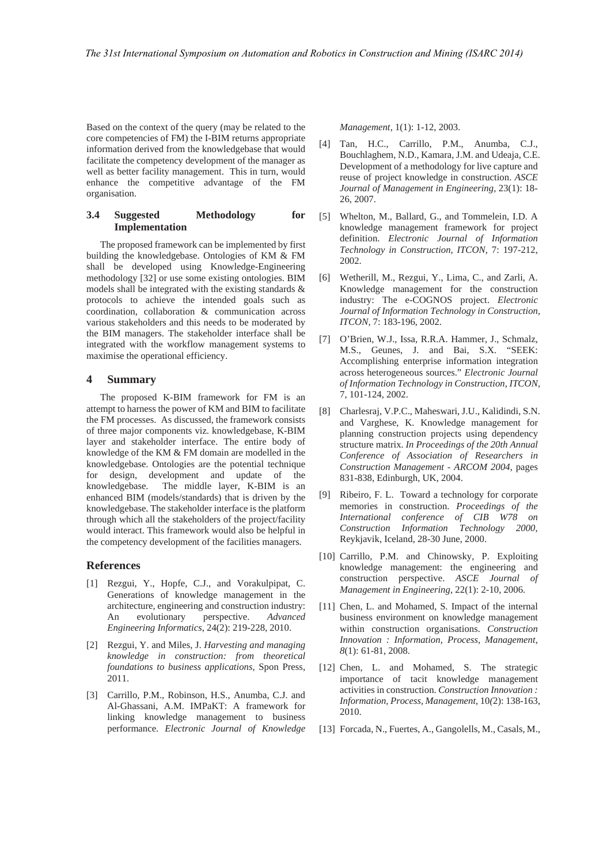Based on the context of the query (may be related to the core competencies of FM) the I-BIM returns appropriate information derived from the knowledgebase that would facilitate the competency development of the manager as well as better facility management. This in turn, would enhance the competitive advantage of the FM organisation.

# **3.4 Suggested Methodology for Implementation**

The proposed framework can be implemented by first building the knowledgebase. Ontologies of KM & FM shall be developed using Knowledge-Engineering methodology [32] or use some existing ontologies. BIM models shall be integrated with the existing standards & protocols to achieve the intended goals such as coordination, collaboration & communication across various stakeholders and this needs to be moderated by the BIM managers. The stakeholder interface shall be integrated with the workflow management systems to maximise the operational efficiency.

## **4 Summary**

The proposed K-BIM framework for FM is an attempt to harness the power of KM and BIM to facilitate the FM processes. As discussed, the framework consists of three major components viz. knowledgebase, K-BIM layer and stakeholder interface. The entire body of knowledge of the KM & FM domain are modelled in the knowledgebase. Ontologies are the potential technique for design, development and update of the knowledgebase. The middle layer, K-BIM is an enhanced BIM (models/standards) that is driven by the knowledgebase. The stakeholder interface is the platform through which all the stakeholders of the project/facility would interact. This framework would also be helpful in the competency development of the facilities managers.

# **References**

- [1] Rezgui, Y., Hopfe, C.J., and Vorakulpipat, C. Generations of knowledge management in the architecture, engineering and construction industry: An evolutionary perspective. *Advanced Engineering Informatics*, 24(2): 219-228, 2010.
- [2] Rezgui, Y. and Miles, J. *Harvesting and managing knowledge in construction: from theoretical foundations to business applications,* Spon Press, 2011.
- [3] Carrillo, P.M., Robinson, H.S., Anumba, C.J. and Al-Ghassani, A.M. IMPaKT: A framework for linking knowledge management to business performance. *Electronic Journal of Knowledge*

*Management*, 1(1): 1-12, 2003.

- [4] Tan, H.C., Carrillo, P.M., Anumba, C.J., Bouchlaghem, N.D., Kamara, J.M. and Udeaja, C.E. Development of a methodology for live capture and reuse of project knowledge in construction. *ASCE Journal of Management in Engineering,* 23(1): 18- 26, 2007.
- [5] Whelton, M., Ballard, G., and Tommelein, I.D. A knowledge management framework for project definition. *Electronic Journal of Information Technology in Construction, ITCON,* 7: 197-212, 2002.
- [6] Wetherill, M., Rezgui, Y., Lima, C., and Zarli, A. Knowledge management for the construction industry: The e-COGNOS project. *Electronic Journal of Information Technology in Construction, ITCON,* 7: 183-196, 2002.
- [7] O'Brien, W.J., Issa, R.R.A. Hammer, J., Schmalz, M.S., Geunes, J. and Bai, S.X. "SEEK: Accomplishing enterprise information integration across heterogeneous sources." *Electronic Journal of Information Technology in Construction, ITCON,* 7, 101-124, 2002.
- [8] Charlesraj, V.P.C., Maheswari, J.U., Kalidindi, S.N. and Varghese, K. Knowledge management for planning construction projects using dependency structure matrix. *In Proceedings of the 20th Annual Conference of Association of Researchers in Construction Management - ARCOM 2004*, pages 831-838, Edinburgh, UK, 2004.
- [9] Ribeiro, F. L. Toward a technology for corporate memories in construction. *Proceedings of the International conference of CIB W78 on Construction Information Technology 2000*, Reykjavik, Iceland, 28-30 June, 2000.
- [10] Carrillo, P.M. and Chinowsky, P. Exploiting knowledge management: the engineering and construction perspective. *ASCE Journal of Management in Engineering*, 22(1): 2-10, 2006.
- [11] Chen, L. and Mohamed, S. Impact of the internal business environment on knowledge management within construction organisations. *Construction Innovation : Information, Process, Management*, *8*(1): 61-81, 2008.
- [12] Chen, L. and Mohamed, S. The strategic importance of tacit knowledge management activities in construction. *Construction Innovation : Information, Process, Management*, 10*(*2): 138-163, 2010.
- [13] Forcada, N., Fuertes, A., Gangolells, M., Casals, M.,